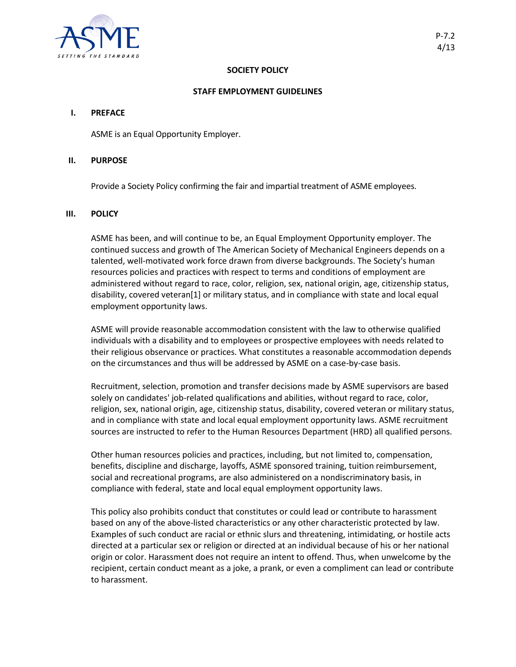

# **SOCIETY POLICY**

### **STAFF EMPLOYMENT GUIDELINES**

### **I. PREFACE**

ASME is an Equal Opportunity Employer.

## **II. PURPOSE**

Provide a Society Policy confirming the fair and impartial treatment of ASME employees.

# **III. POLICY**

ASME has been, and will continue to be, an Equal Employment Opportunity employer. The continued success and growth of The American Society of Mechanical Engineers depends on a talented, well-motivated work force drawn from diverse backgrounds. The Society's human resources policies and practices with respect to terms and conditions of employment are administered without regard to race, color, religion, sex, national origin, age, citizenship status, disability, covered veteran[1] or military status, and in compliance with state and local equal employment opportunity laws.

ASME will provide reasonable accommodation consistent with the law to otherwise qualified individuals with a disability and to employees or prospective employees with needs related to their religious observance or practices. What constitutes a reasonable accommodation depends on the circumstances and thus will be addressed by ASME on a case-by-case basis.

Recruitment, selection, promotion and transfer decisions made by ASME supervisors are based solely on candidates' job-related qualifications and abilities, without regard to race, color, religion, sex, national origin, age, citizenship status, disability, covered veteran or military status, and in compliance with state and local equal employment opportunity laws. ASME recruitment sources are instructed to refer to the Human Resources Department (HRD) all qualified persons.

Other human resources policies and practices, including, but not limited to, compensation, benefits, discipline and discharge, layoffs, ASME sponsored training, tuition reimbursement, social and recreational programs, are also administered on a nondiscriminatory basis, in compliance with federal, state and local equal employment opportunity laws.

This policy also prohibits conduct that constitutes or could lead or contribute to harassment based on any of the above-listed characteristics or any other characteristic protected by law. Examples of such conduct are racial or ethnic slurs and threatening, intimidating, or hostile acts directed at a particular sex or religion or directed at an individual because of his or her national origin or color. Harassment does not require an intent to offend. Thus, when unwelcome by the recipient, certain conduct meant as a joke, a prank, or even a compliment can lead or contribute to harassment.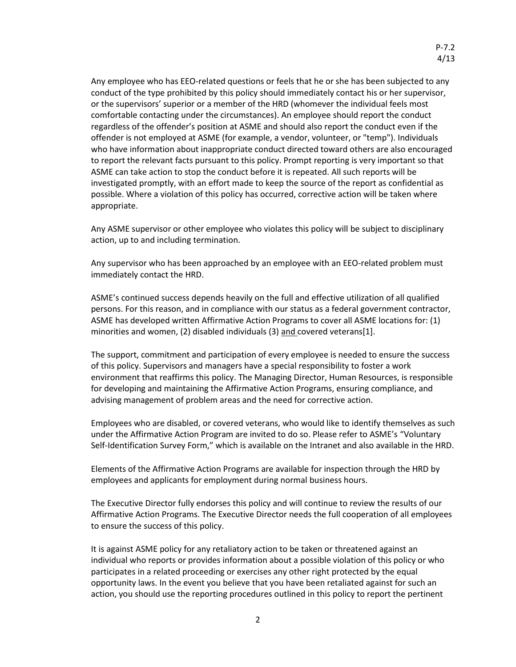Any employee who has EEO-related questions or feels that he or she has been subjected to any conduct of the type prohibited by this policy should immediately contact his or her supervisor, or the supervisors' superior or a member of the HRD (whomever the individual feels most comfortable contacting under the circumstances). An employee should report the conduct regardless of the offender's position at ASME and should also report the conduct even if the offender is not employed at ASME (for example, a vendor, volunteer, or "temp"). Individuals who have information about inappropriate conduct directed toward others are also encouraged to report the relevant facts pursuant to this policy. Prompt reporting is very important so that ASME can take action to stop the conduct before it is repeated. All such reports will be investigated promptly, with an effort made to keep the source of the report as confidential as possible. Where a violation of this policy has occurred, corrective action will be taken where appropriate.

Any ASME supervisor or other employee who violates this policy will be subject to disciplinary action, up to and including termination.

Any supervisor who has been approached by an employee with an EEO-related problem must immediately contact the HRD.

ASME's continued success depends heavily on the full and effective utilization of all qualified persons. For this reason, and in compliance with our status as a federal government contractor, ASME has developed written Affirmative Action Programs to cover all ASME locations for: (1) minorities and women, (2) disabled individuals (3) and covered veterans[1].

The support, commitment and participation of every employee is needed to ensure the success of this policy. Supervisors and managers have a special responsibility to foster a work environment that reaffirms this policy. The Managing Director, Human Resources, is responsible for developing and maintaining the Affirmative Action Programs, ensuring compliance, and advising management of problem areas and the need for corrective action.

Employees who are disabled, or covered veterans, who would like to identify themselves as such under the Affirmative Action Program are invited to do so. Please refer to ASME's ["Voluntary](http://intranet.asmestaff.org/forms/files/Veterans%20Self%20ID%20form.pdf)  Self-[Identification Survey Form,"](http://intranet.asmestaff.org/forms/files/Veterans%20Self%20ID%20form.pdf) which is available on the Intranet and also available in the HRD.

Elements of the Affirmative Action Programs are available for inspection through the HRD by employees and applicants for employment during normal business hours.

The Executive Director fully endorses this policy and will continue to review the results of our Affirmative Action Programs. The Executive Director needs the full cooperation of all employees to ensure the success of this policy.

It is against ASME policy for any retaliatory action to be taken or threatened against an individual who reports or provides information about a possible violation of this policy or who participates in a related proceeding or exercises any other right protected by the equal opportunity laws. In the event you believe that you have been retaliated against for such an action, you should use the reporting procedures outlined in this policy to report the pertinent